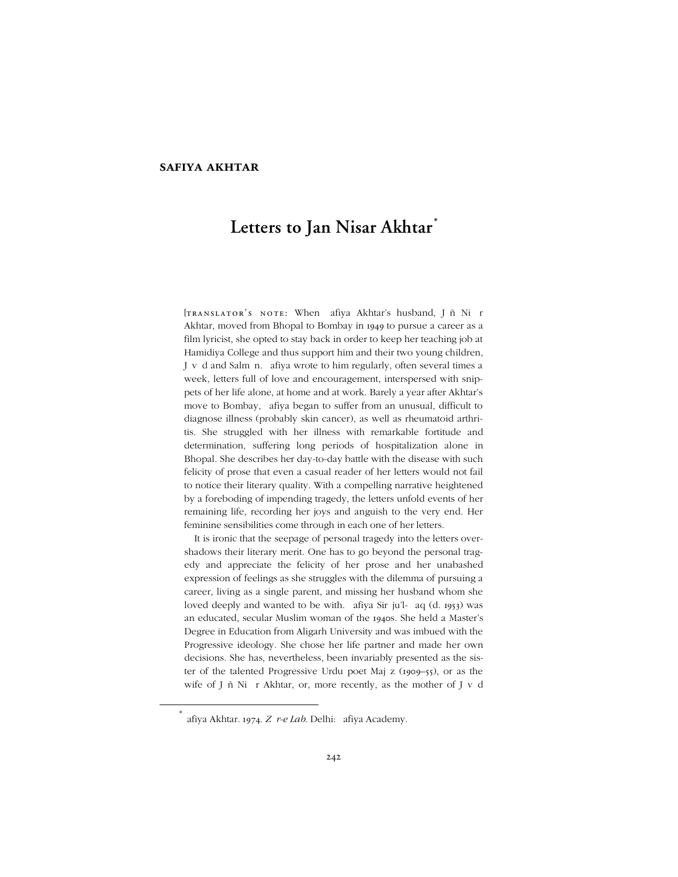# **safiya akhtar**

# **Letters to Jan Nisar Akhtar** *\**

[TRANSLATOR'S NOTE: When Safiya Akhtar's husband, Jāñ Nišār Akhtar, moved from Bhopal to Bombay in 1949 to pursue a career as a film lyricist, she opted to stay back in order to keep her teaching job at Hamidiya College and thus support him and their two young children, Jāvēd and Salmān. Șafiya wrote to him regularly, often several times a week, letters full of love and encouragement, interspersed with snippets of her life alone, at home and at work. Barely a year after Akhtar's move to Bombay, Şafiya began to suffer from an unusual, difficult to diagnose illness (probably skin cancer), as well as rheumatoid arthritis. She struggled with her illness with remarkable fortitude and determination, suffering long periods of hospitalization alone in Bhopal. She describes her day-to-day battle with the disease with such felicity of prose that even a casual reader of her letters would not fail to notice their literary quality. With a compelling narrative heightened by a foreboding of impending tragedy, the letters unfold events of her remaining life, recording her joys and anguish to the very end. Her feminine sensibilities come through in each one of her letters.

It is ironic that the seepage of personal tragedy into the letters overshadows their literary merit. One has to go beyond the personal tragedy and appreciate the felicity of her prose and her unabashed expression of feelings as she struggles with the dilemma of pursuing a career, living as a single parent, and missing her husband whom she loved deeply and wanted to be with. Safiya Sirāju'l-Haq (d. 1953) was an educated, secular Muslim woman of the 1940s. She held a Master's Degree in Education from Aligarh University and was imbued with the Progressive ideology. She chose her life partner and made her own decisions. She has, nevertheless, been invariably presented as the sister of the talented Progressive Urdu poet Majāz (1909–55), or as the wife of Jāñ Nišār Akhtar, or, more recently, as the mother of Jāvēd

 <sup>\*</sup> Safiya Akhtar. 1974. Zēr-e Lab. Delhi: Şafiya Academy.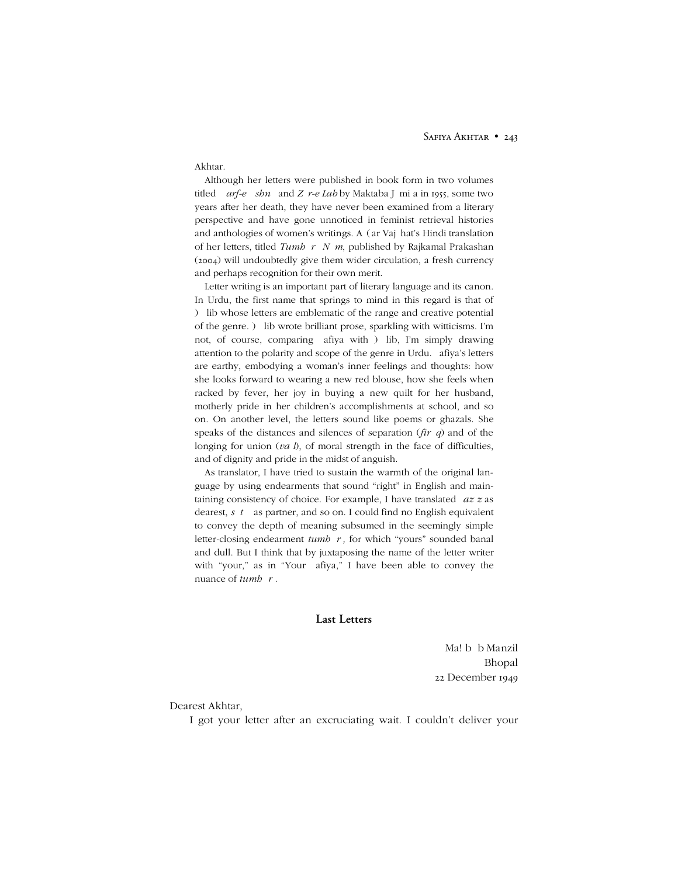#### SAFIYA AKHTAR • 243

#### Akhtar.

Although her letters were published in book form in two volumes titled *Harf-e Āshnā* and Zēr-e Labby Maktaba Jāmi'a in 1955, some two years after her death, they have never been examined from a literary perspective and have gone unnoticed in feminist retrieval histories and anthologies of women's writings. Asgar Vajāhat's Hindi translation of her letters, titled *Tumhārē Nām*, published by Rajkamal Prakashan (2004) will undoubtedly give them wider circulation, a fresh currency and perhaps recognition for their own merit.

Letter writing is an important part of literary language and its canon. In Urdu, the first name that springs to mind in this regard is that of Galib whose letters are emblematic of the range and creative potential of the genre. Galib wrote brilliant prose, sparkling with witticisms. I'm not, of course, comparing Şafiya with Galib, I'm simply drawing attention to the polarity and scope of the genre in Urdu. Safiya's letters are earthy, embodying a woman's inner feelings and thoughts: how she looks forward to wearing a new red blouse, how she feels when racked by fever, her joy in buying a new quilt for her husband, motherly pride in her children's accomplishments at school, and so on. On another level, the letters sound like poems or ghazals. She speaks of the distances and silences of separation (*fir* $\bar{q}q$ ) and of the longing for union (*vasl*), of moral strength in the face of difficulties, and of dignity and pride in the midst of anguish.

As translator, I have tried to sustain the warmth of the original language by using endearments that sound "right" in English and maintaining consistency of choice. For example, I have translated 'aziz as dearest, *sāthi* as partner, and so on. I could find no English equivalent to convey the depth of meaning subsumed in the seemingly simple letter-closing endearment *tumhārī*, for which "yours" sounded banal and dull. But I think that by juxtaposing the name of the letter writer with "your," as in "Your Şafiya," I have been able to convey the nuance of *tumbāri*.

# **Last Letters**

Maḥbūb Manzil Bhopal 22 December 1949

# Dearest Akhtar,

I got your letter after an excruciating wait. I couldn't deliver your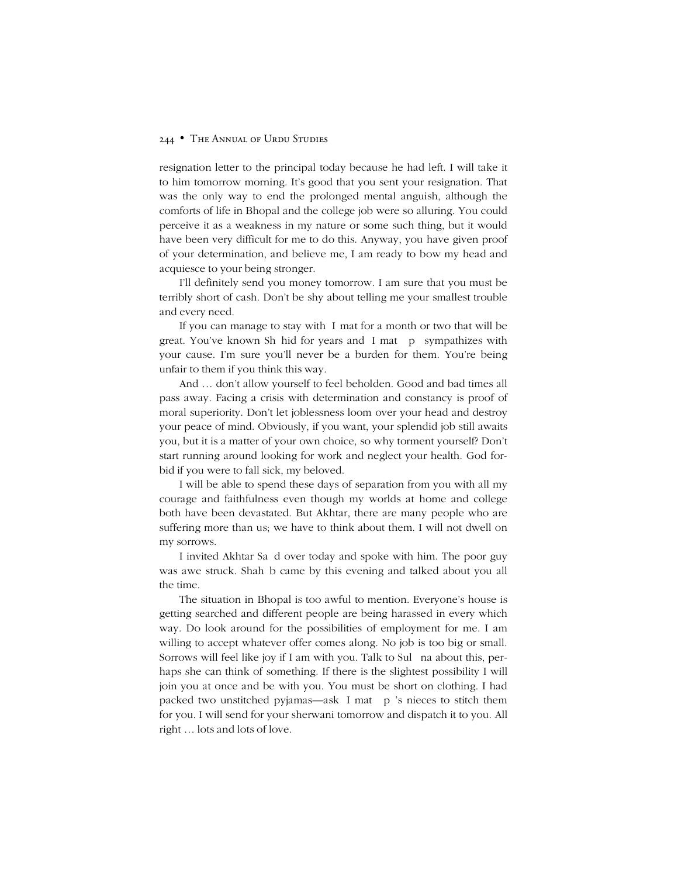resignation letter to the principal today because he had left. I will take it to him tomorrow morning. It's good that you sent your resignation. That was the only way to end the prolonged mental anguish, although the comforts of life in Bhopal and the college job were so alluring. You could perceive it as a weakness in my nature or some such thing, but it would have been very difficult for me to do this. Anyway, you have given proof of your determination, and believe me, I am ready to bow my head and acquiesce to your being stronger.

I'll definitely send you money tomorrow. I am sure that you must be terribly short of cash. Don't be shy about telling me your smallest trouble and every need.

If you can manage to stay with *Ismat* for a month or two that will be great. You've known Shahid for years and 'Ismat Apa sympathizes with your cause. I'm sure you'll never be a burden for them. You're being unfair to them if you think this way.

And … don't allow yourself to feel beholden. Good and bad times all pass away. Facing a crisis with determination and constancy is proof of moral superiority. Don't let joblessness loom over your head and destroy your peace of mind. Obviously, if you want, your splendid job still awaits you, but it is a matter of your own choice, so why torment yourself? Don't start running around looking for work and neglect your health. God forbid if you were to fall sick, my beloved.

I will be able to spend these days of separation from you with all my courage and faithfulness even though my worlds at home and college both have been devastated. But Akhtar, there are many people who are suffering more than us; we have to think about them. I will not dwell on my sorrows.

I invited Akhtar Sa'id over today and spoke with him. The poor guy was awe struck. Shahāb came by this evening and talked about you all the time.

The situation in Bhopal is too awful to mention. Everyone's house is getting searched and different people are being harassed in every which way. Do look around for the possibilities of employment for me. I am willing to accept whatever offer comes along. No job is too big or small. Sorrows will feel like joy if I am with you. Talk to Sultana about this, perhaps she can think of something. If there is the slightest possibility I will join you at once and be with you. You must be short on clothing. I had packed two unstitched pyjamas—ask 'Ismat Āpā's nieces to stitch them for you. I will send for your sherwani tomorrow and dispatch it to you. All right … lots and lots of love.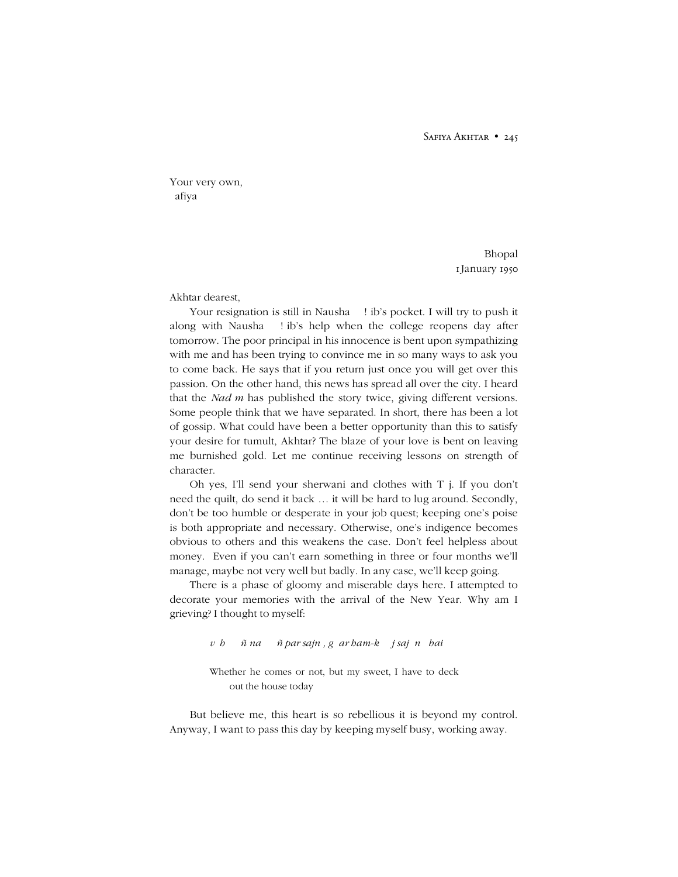#### SAFIYA AKHTAR • 245

Your very own, )afiya

> Bhopal 1January 1950

Akhtar dearest,

Your resignation is still in Nausha Şāḥib's pocket. I will try to push it along with Nausha Şāḥib's help when the college reopens day after tomorrow. The poor principal in his innocence is bent upon sympathizing with me and has been trying to convince me in so many ways to ask you to come back. He says that if you return just once you will get over this passion. On the other hand, this news has spread all over the city. I heard that the *Nadim* has published the story twice, giving different versions. Some people think that we have separated. In short, there has been a lot of gossip. What could have been a better opportunity than this to satisfy your desire for tumult, Akhtar? The blaze of your love is bent on leaving me burnished gold. Let me continue receiving lessons on strength of character.

Oh yes, I'll send your sherwani and clothes with T%j. If you don't need the quilt, do send it back … it will be hard to lug around. Secondly, don't be too humble or desperate in your job quest; keeping one's poise is both appropriate and necessary. Otherwise, one's indigence becomes obvious to others and this weakens the case. Don't feel helpless about money. Even if you can't earn something in three or four months we'll manage, maybe not very well but badly. In any case, we'll keep going.

There is a phase of gloomy and miserable days here. I attempted to decorate your memories with the arrival of the New Year. Why am I grieving? I thought to myself:

*v!h "#\$ñ na "#\$ñ par sajn%, g&ar ham-k! "j saj"n" hai*

Whether he comes or not, but my sweet, I have to deck out the house today

But believe me, this heart is so rebellious it is beyond my control. Anyway, I want to pass this day by keeping myself busy, working away.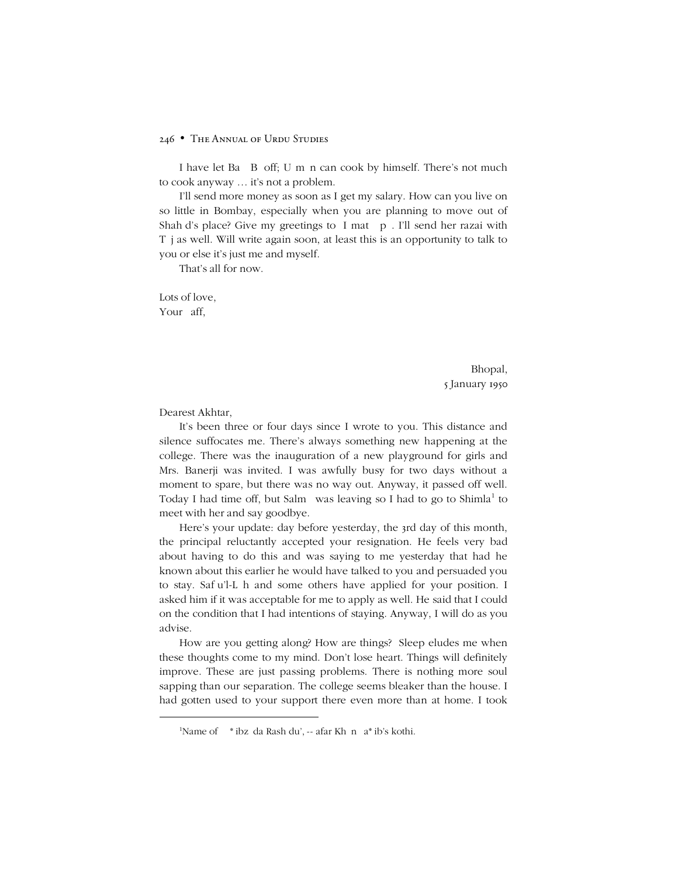## 246 • The Annual of Urdu Studies

I have let Bațī Bī off; Usmān can cook by himself. There's not much to cook anyway … it's not a problem.

I'll send more money as soon as I get my salary. How can you live on so little in Bombay, especially when you are planning to move out of Shahīd's place? Give my greetings to 'Ismat Āpā. I'll send her razai with Tāj as well. Will write again soon, at least this is an opportunity to talk to you or else it's just me and myself.

That's all for now.

Lots of love, Your Şaffō

> Bhopal, 5 January 1950

Dearest Akhtar,

1

It's been three or four days since I wrote to you. This distance and silence suffocates me. There's always something new happening at the college. There was the inauguration of a new playground for girls and Mrs. Banerji was invited. I was awfully busy for two days without a moment to spare, but there was no way out. Anyway, it passed off well. Today I had time off, but Salmā was leaving so I had to go to Shimla<sup>1</sup> to meet with her and say goodbye.

Here's your update: day before yesterday, the 3rd day of this month, the principal reluctantly accepted your resignation. He feels very bad about having to do this and was saying to me yesterday that had he known about this earlier he would have talked to you and persuaded you to stay. Safiu'l-Lah and some others have applied for your position. I asked him if it was acceptable for me to apply as well. He said that I could on the condition that I had intentions of staying. Anyway, I will do as you advise.

How are you getting along? How are things? Sleep eludes me when these thoughts come to my mind. Don't lose heart. Things will definitely improve. These are just passing problems. There is nothing more soul sapping than our separation. The college seems bleaker than the house. I had gotten used to your support there even more than at home. I took

<sup>&</sup>lt;sup>1</sup>Name of Şāḥibzāda Rashīdu'z-Zafar Khān Şaḥib's kothi.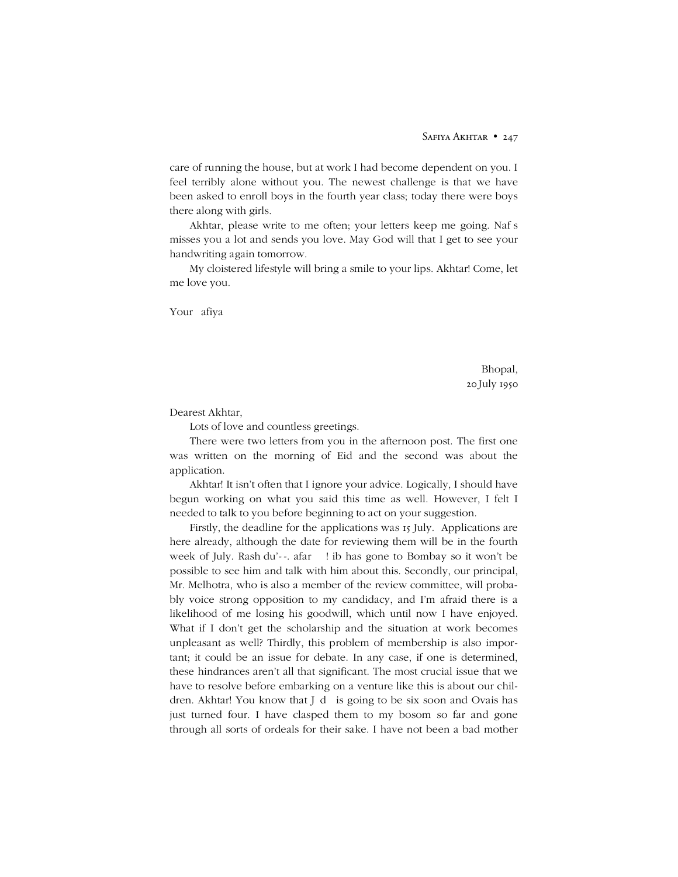care of running the house, but at work I had become dependent on you. I feel terribly alone without you. The newest challenge is that we have been asked to enroll boys in the fourth year class; today there were boys there along with girls.

Akhtar, please write to me often; your letters keep me going. Naf's misses you a lot and sends you love. May God will that I get to see your handwriting again tomorrow.

My cloistered lifestyle will bring a smile to your lips. Akhtar! Come, let me love you.

Your Şafiya

Bhopal, 20 July 1950

Dearest Akhtar,

Lots of love and countless greetings.

There were two letters from you in the afternoon post. The first one was written on the morning of Eid and the second was about the application.

Akhtar! It isn't often that I ignore your advice. Logically, I should have begun working on what you said this time as well. However, I felt I needed to talk to you before beginning to act on your suggestion.

Firstly, the deadline for the applications was 15 July. Applications are here already, although the date for reviewing them will be in the fourth week of July. Rashidu'z-Zafar Şāḥib has gone to Bombay so it won't be possible to see him and talk with him about this. Secondly, our principal, Mr. Melhotra, who is also a member of the review committee, will probably voice strong opposition to my candidacy, and I'm afraid there is a likelihood of me losing his goodwill, which until now I have enjoyed. What if I don't get the scholarship and the situation at work becomes unpleasant as well? Thirdly, this problem of membership is also important; it could be an issue for debate. In any case, if one is determined, these hindrances aren't all that significant. The most crucial issue that we have to resolve before embarking on a venture like this is about our children. Akhtar! You know that Jādū is going to be six soon and Ovais has just turned four. I have clasped them to my bosom so far and gone through all sorts of ordeals for their sake. I have not been a bad mother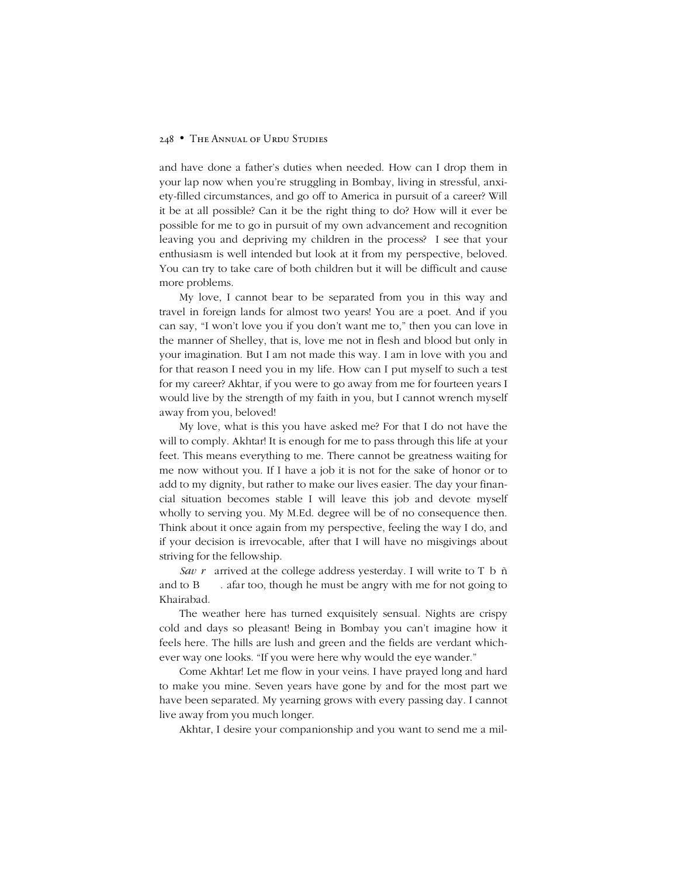# 248 • The Annual of Urdu Studies

and have done a father's duties when needed. How can I drop them in your lap now when you're struggling in Bombay, living in stressful, anxiety-filled circumstances, and go off to America in pursuit of a career? Will it be at all possible? Can it be the right thing to do? How will it ever be possible for me to go in pursuit of my own advancement and recognition leaving you and depriving my children in the process? I see that your enthusiasm is well intended but look at it from my perspective, beloved. You can try to take care of both children but it will be difficult and cause more problems.

My love, I cannot bear to be separated from you in this way and travel in foreign lands for almost two years! You are a poet. And if you can say, "I won't love you if you don't want me to," then you can love in the manner of Shelley, that is, love me not in flesh and blood but only in your imagination. But I am not made this way. I am in love with you and for that reason I need you in my life. How can I put myself to such a test for my career? Akhtar, if you were to go away from me for fourteen years I would live by the strength of my faith in you, but I cannot wrench myself away from you, beloved!

My love, what is this you have asked me? For that I do not have the will to comply. Akhtar! It is enough for me to pass through this life at your feet. This means everything to me. There cannot be greatness waiting for me now without you. If I have a job it is not for the sake of honor or to add to my dignity, but rather to make our lives easier. The day your financial situation becomes stable I will leave this job and devote myself wholly to serving you. My M.Ed. degree will be of no consequence then. Think about it once again from my perspective, feeling the way I do, and if your decision is irrevocable, after that I will have no misgivings about striving for the fellowship.

Savērā arrived at the college address yesterday. I will write to Tābāñ and to Bha'i Zafar too, though he must be angry with me for not going to Khairabad.

The weather here has turned exquisitely sensual. Nights are crispy cold and days so pleasant! Being in Bombay you can't imagine how it feels here. The hills are lush and green and the fields are verdant whichever way one looks. "If you were here why would the eye wander."

Come Akhtar! Let me flow in your veins. I have prayed long and hard to make you mine. Seven years have gone by and for the most part we have been separated. My yearning grows with every passing day. I cannot live away from you much longer.

Akhtar, I desire your companionship and you want to send me a mil-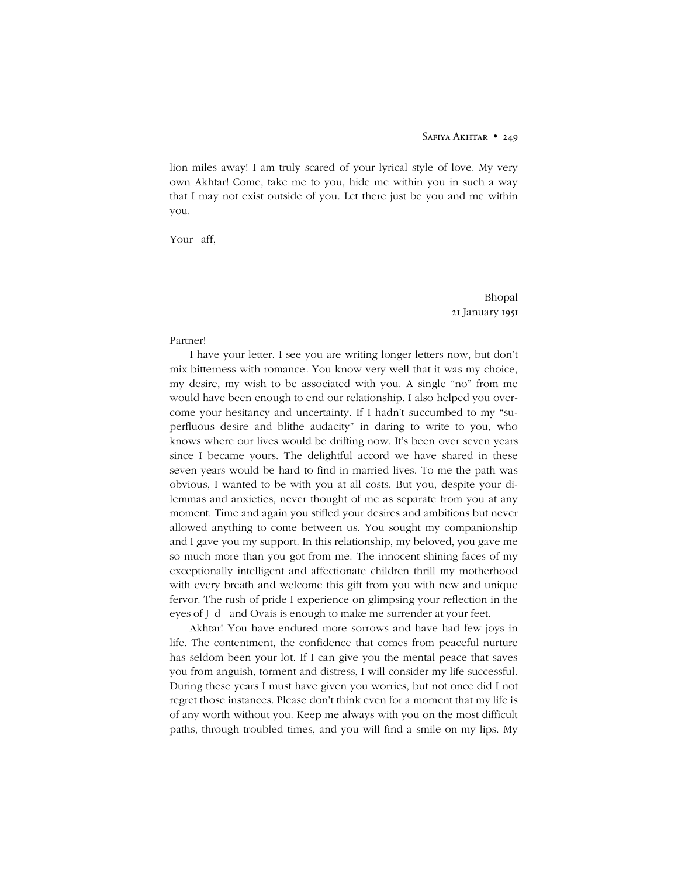lion miles away! I am truly scared of your lyrical style of love. My very own Akhtar! Come, take me to you, hide me within you in such a way that I may not exist outside of you. Let there just be you and me within you.

Your Saffō

Bhopal 21 January 1951

# Partner!

I have your letter. I see you are writing longer letters now, but don't mix bitterness with romance*.* You know very well that it was my choice, my desire, my wish to be associated with you. A single "no" from me would have been enough to end our relationship. I also helped you overcome your hesitancy and uncertainty. If I hadn't succumbed to my "superfluous desire and blithe audacity" in daring to write to you, who knows where our lives would be drifting now. It's been over seven years since I became yours. The delightful accord we have shared in these seven years would be hard to find in married lives. To me the path was obvious, I wanted to be with you at all costs. But you, despite your dilemmas and anxieties, never thought of me as separate from you at any moment. Time and again you stifled your desires and ambitions but never allowed anything to come between us. You sought my companionship and I gave you my support. In this relationship, my beloved, you gave me so much more than you got from me. The innocent shining faces of my exceptionally intelligent and affectionate children thrill my motherhood with every breath and welcome this gift from you with new and unique fervor. The rush of pride I experience on glimpsing your reflection in the eyes of Jādū and Ovais is enough to make me surrender at your feet.

Akhtar! You have endured more sorrows and have had few joys in life. The contentment, the confidence that comes from peaceful nurture has seldom been your lot. If I can give you the mental peace that saves you from anguish, torment and distress, I will consider my life successful. During these years I must have given you worries, but not once did I not regret those instances. Please don't think even for a moment that my life is of any worth without you. Keep me always with you on the most difficult paths, through troubled times, and you will find a smile on my lips. My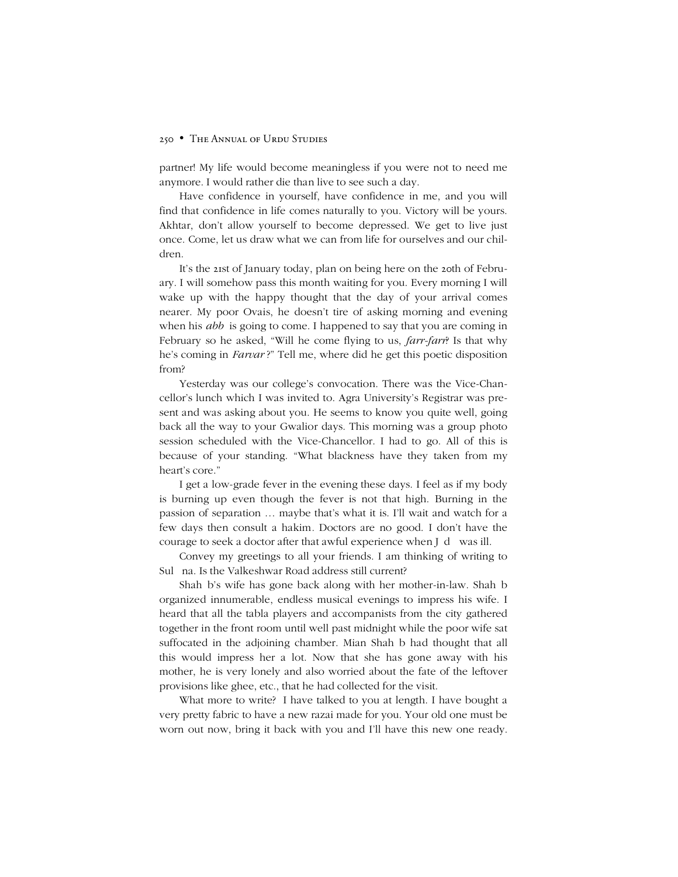partner! My life would become meaningless if you were not to need me anymore. I would rather die than live to see such a day.

Have confidence in yourself, have confidence in me, and you will find that confidence in life comes naturally to you. Victory will be yours. Akhtar, don't allow yourself to become depressed. We get to live just once. Come, let us draw what we can from life for ourselves and our children.

It's the 21st of January today, plan on being here on the 20th of February. I will somehow pass this month waiting for you. Every morning I will wake up with the happy thought that the day of your arrival comes nearer. My poor Ovais, he doesn't tire of asking morning and evening when his *abbi* is going to come. I happened to say that you are coming in February so he asked, "Will he come flying to us, *farr-farr*? Is that why he's coming in *Farvari*?" Tell me, where did he get this poetic disposition from?

Yesterday was our college's convocation. There was the Vice-Chancellor's lunch which I was invited to. Agra University's Registrar was present and was asking about you. He seems to know you quite well, going back all the way to your Gwalior days. This morning was a group photo session scheduled with the Vice-Chancellor. I had to go. All of this is because of your standing. "What blackness have they taken from my heart's core."

I get a low-grade fever in the evening these days. I feel as if my body is burning up even though the fever is not that high. Burning in the passion of separation … maybe that's what it is. I'll wait and watch for a few days then consult a hakim*.* Doctors are no good. I don't have the courage to seek a doctor after that awful experience when Jādū was ill.

Convey my greetings to all your friends. I am thinking of writing to Sultāna. Is the Valkeshwar Road address still current?

Shahāb's wife has gone back along with her mother-in-law. Shahāb organized innumerable, endless musical evenings to impress his wife. I heard that all the tabla players and accompanists from the city gathered together in the front room until well past midnight while the poor wife sat suffocated in the adjoining chamber. Mian Shahab had thought that all this would impress her a lot. Now that she has gone away with his mother, he is very lonely and also worried about the fate of the leftover provisions like ghee, etc., that he had collected for the visit.

What more to write? I have talked to you at length. I have bought a very pretty fabric to have a new razai made for you. Your old one must be worn out now, bring it back with you and I'll have this new one ready.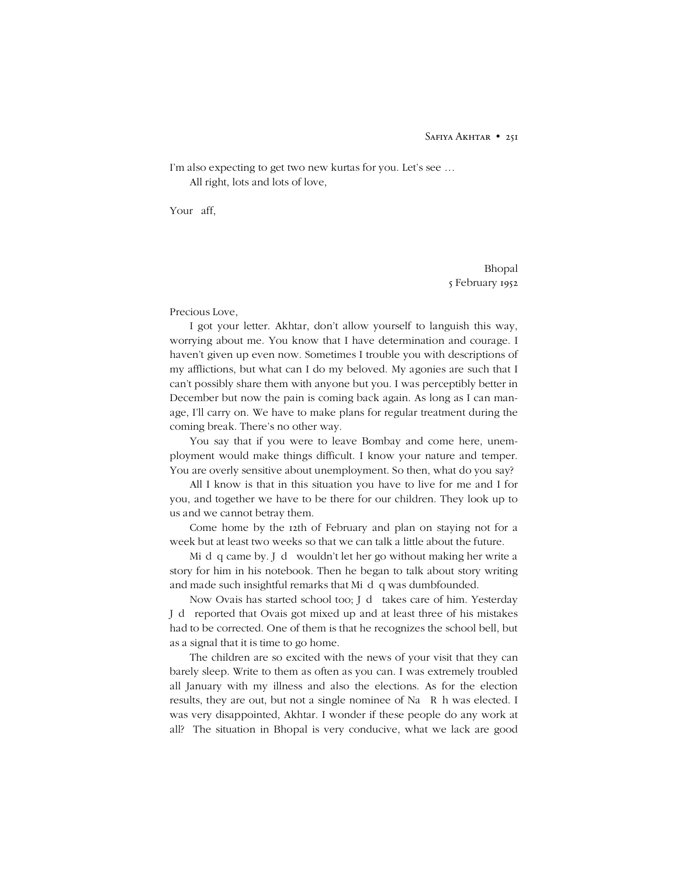I'm also expecting to get two new kurtas for you. Let's see … All right, lots and lots of love,

Your Saffō

Bhopal 5 February 1952

Precious Love,

I got your letter. Akhtar, don't allow yourself to languish this way, worrying about me. You know that I have determination and courage. I haven't given up even now. Sometimes I trouble you with descriptions of my afflictions, but what can I do my beloved. My agonies are such that I can't possibly share them with anyone but you. I was perceptibly better in December but now the pain is coming back again. As long as I can manage, I'll carry on. We have to make plans for regular treatment during the coming break. There's no other way.

You say that if you were to leave Bombay and come here, unemployment would make things difficult. I know your nature and temper. You are overly sensitive about unemployment. So then, what do you say?

All I know is that in this situation you have to live for me and I for you, and together we have to be there for our children. They look up to us and we cannot betray them.

Come home by the 12th of February and plan on staying not for a week but at least two weeks so that we can talk a little about the future.

Misdāg came by. Jādū wouldn't let her go without making her write a story for him in his notebook. Then he began to talk about story writing and made such insightful remarks that Misdaq was dumbfounded.

Now Ovais has started school too; Jādū takes care of him. Yesterday Jādū reported that Ovais got mixed up and at least three of his mistakes had to be corrected. One of them is that he recognizes the school bell, but as a signal that it is time to go home.

The children are so excited with the news of your visit that they can barely sleep. Write to them as often as you can. I was extremely troubled all January with my illness and also the elections. As for the election results, they are out, but not a single nominee of Na<sup>3</sup> Rah was elected. I was very disappointed, Akhtar. I wonder if these people do any work at all? The situation in Bhopal is very conducive, what we lack are good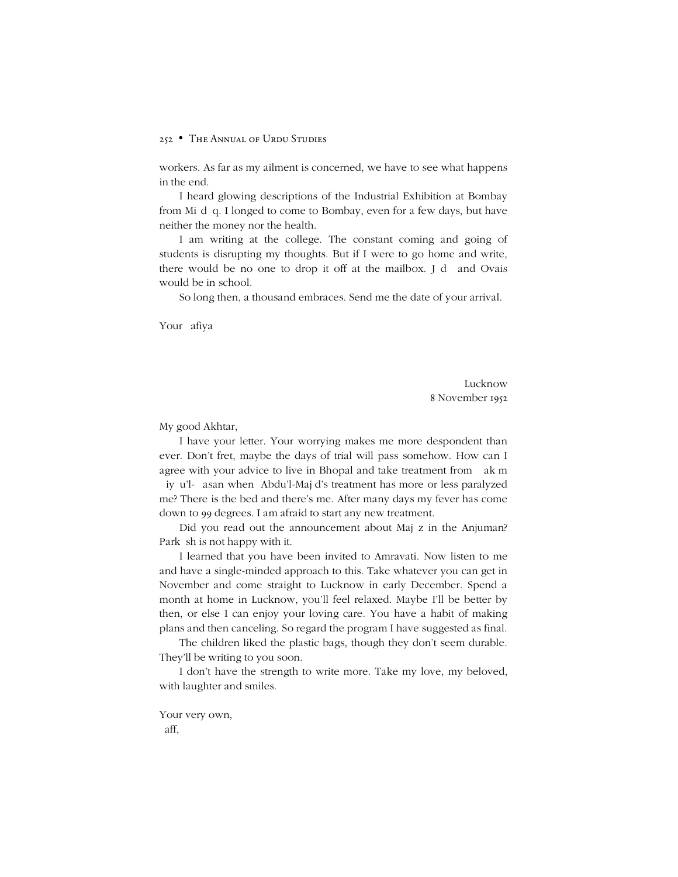workers. As far as my ailment is concerned, we have to see what happens in the end.

I heard glowing descriptions of the Industrial Exhibition at Bombay from Mişdāq. I longed to come to Bombay, even for a few days, but have neither the money nor the health.

I am writing at the college. The constant coming and going of students is disrupting my thoughts. But if I were to go home and write, there would be no one to drop it off at the mailbox. Jādū and Ovais would be in school.

So long then, a thousand embraces. Send me the date of your arrival.

Your Şafiya

Lucknow 8 November 1952

My good Akhtar,

I have your letter. Your worrying makes me more despondent than ever. Don't fret, maybe the days of trial will pass somehow. How can I agree with your advice to live in Bhopal and take treatment from Hakim 2iy%u'l-1asan when #Abdu'l-Maj'd's treatment has more or less paralyzed me? There is the bed and there's me. After many days my fever has come down to 99 degrees. I am afraid to start any new treatment.

Did you read out the announcement about Majaz in the Anjuman? Parkāsh is not happy with it.

I learned that you have been invited to Amravati. Now listen to me and have a single-minded approach to this. Take whatever you can get in November and come straight to Lucknow in early December. Spend a month at home in Lucknow, you'll feel relaxed. Maybe I'll be better by then, or else I can enjoy your loving care. You have a habit of making plans and then canceling. So regard the program I have suggested as final.

The children liked the plastic bags, though they don't seem durable. They'll be writing to you soon.

I don't have the strength to write more. Take my love, my beloved, with laughter and smiles.

Your very own, Saffō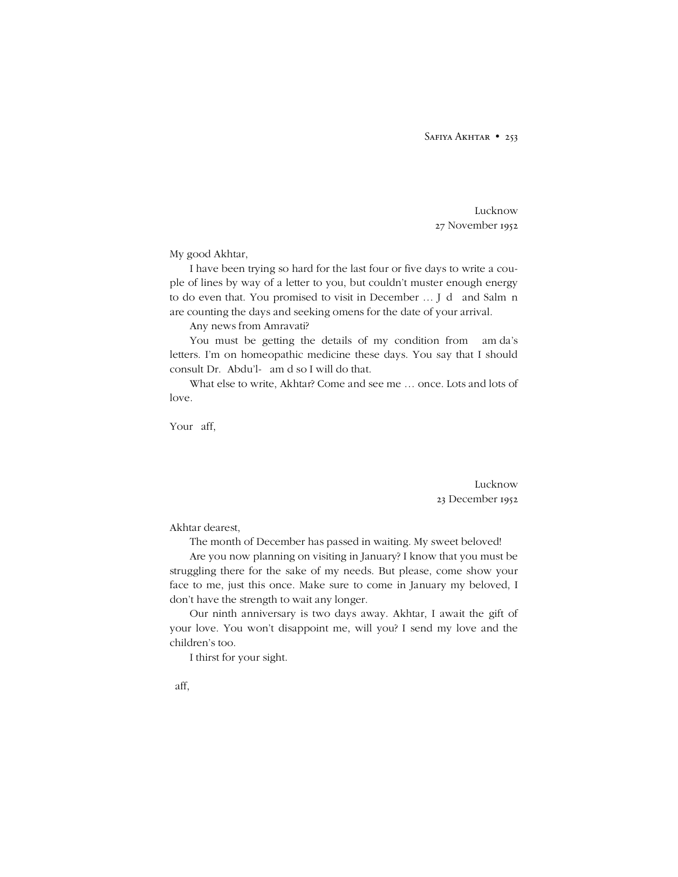SAFIYA AKHTAR • 253

Lucknow 27 November 1952

My good Akhtar,

I have been trying so hard for the last four or five days to write a couple of lines by way of a letter to you, but couldn't muster enough energy to do even that. You promised to visit in December ... Jādū and Salmān are counting the days and seeking omens for the date of your arrival.

Any news from Amravati?

You must be getting the details of my condition from Hamida's letters. I'm on homeopathic medicine these days. You say that I should consult Dr. 'Abdu'l-Hamid so I will do that.

What else to write, Akhtar? Come and see me … once. Lots and lots of love.

Your Saffō

Lucknow 23 December 1952

Akhtar dearest,

The month of December has passed in waiting. My sweet beloved!

Are you now planning on visiting in January? I know that you must be struggling there for the sake of my needs. But please, come show your face to me, just this once. Make sure to come in January my beloved, I don't have the strength to wait any longer.

Our ninth anniversary is two days away. Akhtar, I await the gift of your love. You won't disappoint me, will you? I send my love and the children's too.

I thirst for your sight.

Saffō